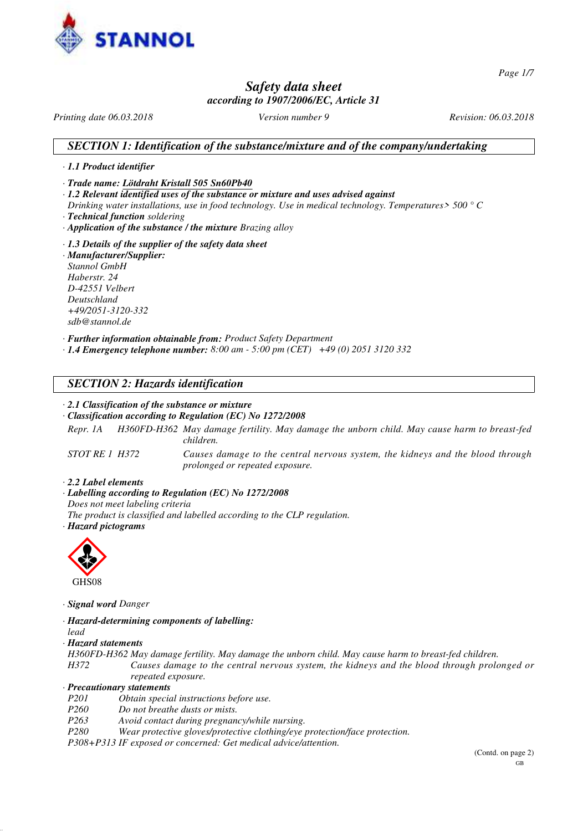

*Page 1/7*

## *Safety data sheet according to 1907/2006/EC, Article 31*

*Printing date 06.03.2018 Version number 9 Revision: 06.03.2018*

## *SECTION 1: Identification of the substance/mixture and of the company/undertaking*

#### *· 1.1 Product identifier*

*· Trade name: Lötdraht Kristall 505 Sn60Pb40*

- *· 1.2 Relevant identified uses of the substance or mixture and uses advised against*
- *Drinking water installations, use in food technology. Use in medical technology. Temperatures> 500 ° C*
- *· Technical function soldering*
- *· Application of the substance / the mixture Brazing alloy*
- *· 1.3 Details of the supplier of the safety data sheet · Manufacturer/Supplier: Stannol GmbH Haberstr. 24 D-42551 Velbert Deutschland +49/2051-3120-332 sdb@stannol.de*

*· Further information obtainable from: Product Safety Department*

*· 1.4 Emergency telephone number: 8:00 am - 5:00 pm (CET) +49 (0) 2051 3120 332*

## *SECTION 2: Hazards identification*

#### *· 2.1 Classification of the substance or mixture*

#### *· Classification according to Regulation (EC) No 1272/2008*

*Repr. 1A H360FD-H362 May damage fertility. May damage the unborn child. May cause harm to breast-fed children.*

*STOT RE 1 H372 Causes damage to the central nervous system, the kidneys and the blood through prolonged or repeated exposure.*

*· 2.2 Label elements*

*· Labelling according to Regulation (EC) No 1272/2008*

*Does not meet labeling criteria*

- *The product is classified and labelled according to the CLP regulation.*
- *· Hazard pictograms*



*· Signal word Danger*

- *· Hazard-determining components of labelling:*
- *lead*
- *· Hazard statements*
- *H360FD-H362 May damage fertility. May damage the unborn child. May cause harm to breast-fed children.*

*H372 Causes damage to the central nervous system, the kidneys and the blood through prolonged or repeated exposure.*

#### *· Precautionary statements*

- *P201 Obtain special instructions before use.*
- *Po not breathe dusts or mists.*
- *P263 Avoid contact during pregnancy/while nursing.*
- *P280 Wear protective gloves/protective clothing/eye protection/face protection.*

*P308+P313 IF exposed or concerned: Get medical advice/attention.*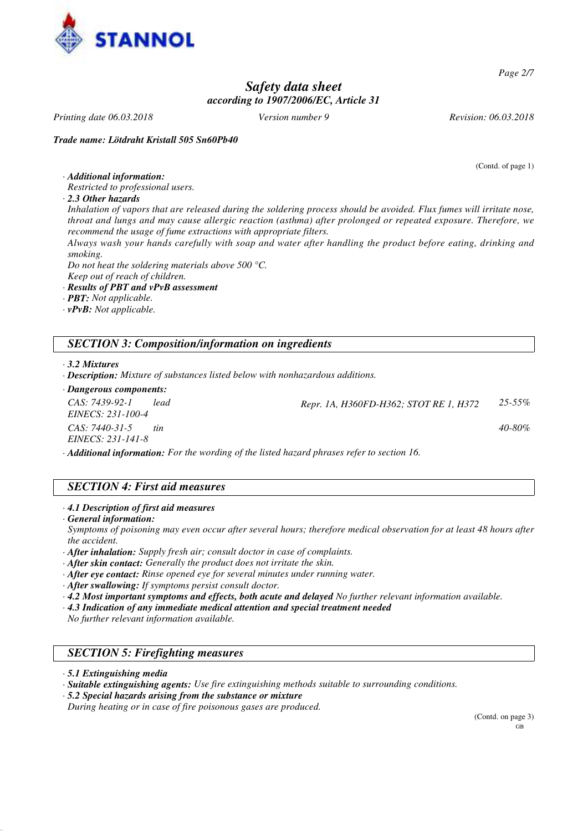

*Page 2/7*

# *Safety data sheet according to 1907/2006/EC, Article 31*

*Printing date 06.03.2018 Version number 9 Revision: 06.03.2018*

*Trade name: Lötdraht Kristall 505 Sn60Pb40*

(Contd. of page 1)

*· Additional information:*

*Restricted to professional users.*

*· 2.3 Other hazards*

*Inhalation of vapors that are released during the soldering process should be avoided. Flux fumes will irritate nose, throat and lungs and may cause allergic reaction (asthma) after prolonged or repeated exposure. Therefore, we recommend the usage of fume extractions with appropriate filters.*

*Always wash your hands carefully with soap and water after handling the product before eating, drinking and smoking.*

*Do not heat the soldering materials above 500 °C.*

*Keep out of reach of children.*

- *· Results of PBT and vPvB assessment*
- *· PBT: Not applicable.*
- *· vPvB: Not applicable.*

## *SECTION 3: Composition/information on ingredients*

*· 3.2 Mixtures*

- *· Description: Mixture of substances listed below with nonhazardous additions.*
- *· Dangerous components:*

| CAS: 7439-92-1<br>EINECS: 231-100-4                                                              | lead | Repr. 1A, H360FD-H362; STOT RE 1, H372 | $25 - 55\%$ |
|--------------------------------------------------------------------------------------------------|------|----------------------------------------|-------------|
| CAS: 7440-31-5<br><i>EINECS: 231-141-8</i>                                                       | tin  |                                        | $40 - 80\%$ |
| <b>Additional information:</b> For the wording of the listed hazard phrases refer to section 16. |      |                                        |             |

# *SECTION 4: First aid measures*

*· 4.1 Description of first aid measures*

*· General information:*

*Symptoms of poisoning may even occur after several hours; therefore medical observation for at least 48 hours after the accident.*

*· After inhalation: Supply fresh air; consult doctor in case of complaints.*

- *· After skin contact: Generally the product does not irritate the skin.*
- *· After eye contact: Rinse opened eye for several minutes under running water.*

*· After swallowing: If symptoms persist consult doctor.*

*· 4.2 Most important symptoms and effects, both acute and delayed No further relevant information available.*

*· 4.3 Indication of any immediate medical attention and special treatment needed*

*No further relevant information available.*

## *SECTION 5: Firefighting measures*

*· 5.1 Extinguishing media*

*· Suitable extinguishing agents: Use fire extinguishing methods suitable to surrounding conditions.*

*· 5.2 Special hazards arising from the substance or mixture*

*During heating or in case of fire poisonous gases are produced.*

(Contd. on page 3) GB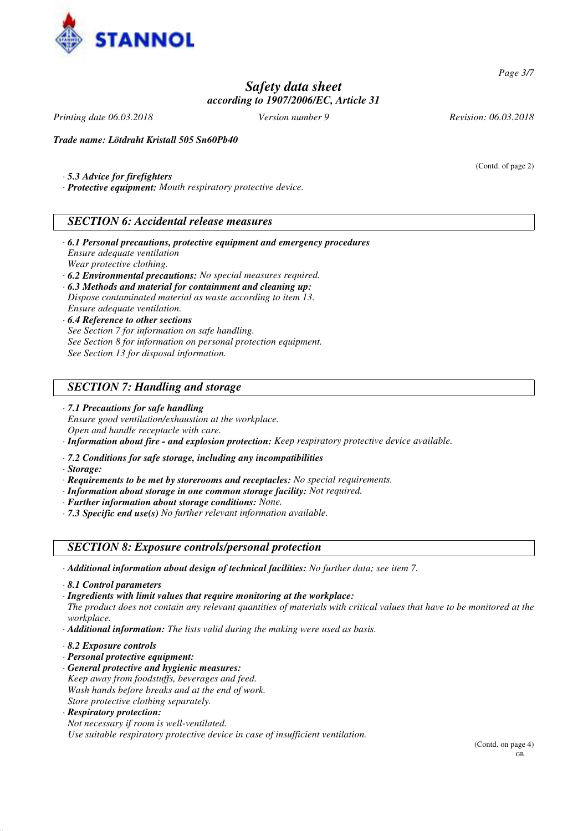

*Page 3/7*

# *Safety data sheet according to 1907/2006/EC, Article 31*

*Printing date 06.03.2018 Version number 9 Revision: 06.03.2018*

(Contd. of page 2)

*Trade name: Lötdraht Kristall 505 Sn60Pb40*

- *· 5.3 Advice for firefighters*
- *· Protective equipment: Mouth respiratory protective device.*

### *SECTION 6: Accidental release measures*

- *· 6.1 Personal precautions, protective equipment and emergency procedures Ensure adequate ventilation Wear protective clothing.*
- *· 6.2 Environmental precautions: No special measures required.*
- *· 6.3 Methods and material for containment and cleaning up: Dispose contaminated material as waste according to item 13. Ensure adequate ventilation.*
- *· 6.4 Reference to other sections See Section 7 for information on safe handling. See Section 8 for information on personal protection equipment. See Section 13 for disposal information.*

### *SECTION 7: Handling and storage*

*· 7.1 Precautions for safe handling Ensure good ventilation/exhaustion at the workplace. Open and handle receptacle with care.*

*· Information about fire - and explosion protection: Keep respiratory protective device available.*

- *· 7.2 Conditions for safe storage, including any incompatibilities*
- *· Storage:*
- *· Requirements to be met by storerooms and receptacles: No special requirements.*
- *· Information about storage in one common storage facility: Not required.*
- *· Further information about storage conditions: None.*
- *· 7.3 Specific end use(s) No further relevant information available.*

### *SECTION 8: Exposure controls/personal protection*

- *· Additional information about design of technical facilities: No further data; see item 7.*
- *· 8.1 Control parameters*

*· Ingredients with limit values that require monitoring at the workplace: The product does not contain any relevant quantities of materials with critical values that have to be monitored at the workplace.*

- *· Additional information: The lists valid during the making were used as basis.*
- *· 8.2 Exposure controls*
- *· Personal protective equipment:*
- *· General protective and hygienic measures: Keep away from foodstuffs, beverages and feed. Wash hands before breaks and at the end of work. Store protective clothing separately.*
- *· Respiratory protection:*

*Not necessary if room is well-ventilated.*

*Use suitable respiratory protective device in case of insufficient ventilation.*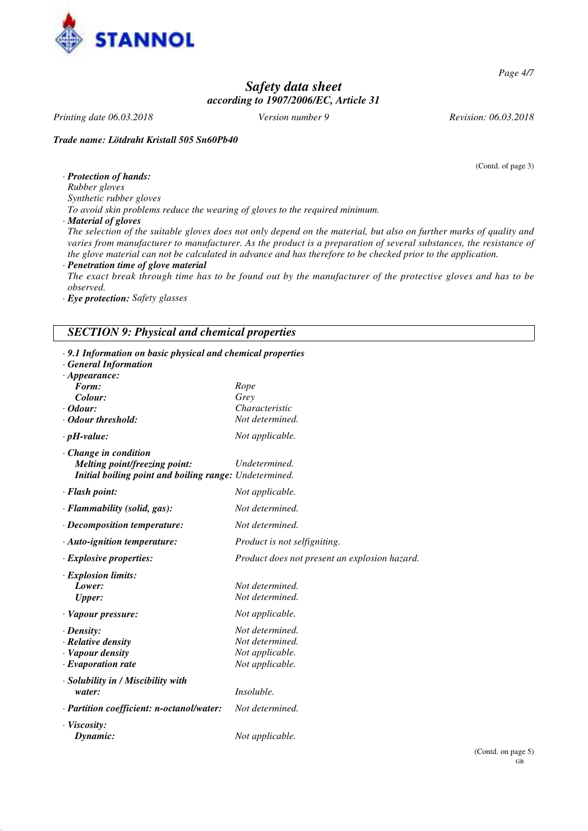

*Page 4/7*

# *Safety data sheet according to 1907/2006/EC, Article 31*

*Printing date 06.03.2018 Version number 9 Revision: 06.03.2018*

*Trade name: Lötdraht Kristall 505 Sn60Pb40*

(Contd. of page 3)

*· Protection of hands: Rubber gloves*

*Synthetic rubber gloves*

*To avoid skin problems reduce the wearing of gloves to the required minimum.*

*· Material of gloves*

*The selection of the suitable gloves does not only depend on the material, but also on further marks of quality and varies from manufacturer to manufacturer. As the product is a preparation of several substances, the resistance of the glove material can not be calculated in advance and has therefore to be checked prior to the application.*

*· Penetration time of glove material*

*The exact break through time has to be found out by the manufacturer of the protective gloves and has to be observed.*

*· Eye protection: Safety glasses*

### *SECTION 9: Physical and chemical properties*

| · 9.1 Information on basic physical and chemical properties<br><b>General Information</b><br>$\cdot$ Appearance:              |                                                                          |
|-------------------------------------------------------------------------------------------------------------------------------|--------------------------------------------------------------------------|
| Form:<br>Colour:                                                                                                              | Rope<br>Grey                                                             |
| $\cdot$ Odour:                                                                                                                | Characteristic                                                           |
| Odour threshold:                                                                                                              | Not determined.                                                          |
| $\cdot$ pH-value:                                                                                                             | Not applicable.                                                          |
| $\cdot$ Change in condition<br><b>Melting point/freezing point:</b><br>Initial boiling point and boiling range: Undetermined. | Undetermined.                                                            |
| · Flash point:                                                                                                                | Not applicable.                                                          |
| · Flammability (solid, gas):                                                                                                  | Not determined.                                                          |
| $\cdot$ Decomposition temperature:                                                                                            | Not determined.                                                          |
| $\cdot$ Auto-ignition temperature:                                                                                            | <i>Product is not selfigniting.</i>                                      |
| $\cdot$ Explosive properties:                                                                                                 | Product does not present an explosion hazard.                            |
| · Explosion limits:<br>Lower:<br><b>Upper:</b>                                                                                | Not determined.<br>Not determined.                                       |
| · Vapour pressure:                                                                                                            | Not applicable.                                                          |
| $\cdot$ Density:<br>· Relative density<br>· Vapour density<br>$\cdot$ Evaporation rate                                        | Not determined.<br>Not determined.<br>Not applicable.<br>Not applicable. |
| · Solubility in / Miscibility with<br>water:                                                                                  | Insoluble.                                                               |
| $\cdot$ Partition coefficient: n-octanol/water:                                                                               | Not determined.                                                          |
| $\cdot$ Viscosity:<br>Dynamic:                                                                                                | Not applicable.                                                          |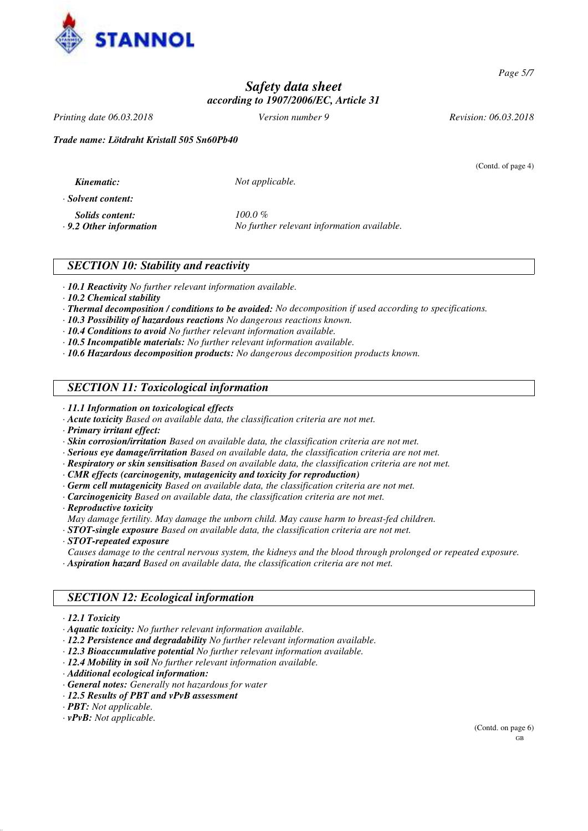

*Page 5/7*

# *Safety data sheet according to 1907/2006/EC, Article 31*

*Printing date 06.03.2018 Version number 9 Revision: 06.03.2018*

(Contd. of page 4)

*Trade name: Lötdraht Kristall 505 Sn60Pb40*

 $Not$  *applicable.* 

*· Solvent content:*

*Solids content: 100.0 %*

*· 9.2 Other information No further relevant information available.*

## *SECTION 10: Stability and reactivity*

*· 10.1 Reactivity No further relevant information available.*

- *· 10.2 Chemical stability*
- *· Thermal decomposition / conditions to be avoided: No decomposition if used according to specifications.*
- *· 10.3 Possibility of hazardous reactions No dangerous reactions known.*
- *· 10.4 Conditions to avoid No further relevant information available.*
- *· 10.5 Incompatible materials: No further relevant information available.*
- *· 10.6 Hazardous decomposition products: No dangerous decomposition products known.*

# *SECTION 11: Toxicological information*

- *· 11.1 Information on toxicological effects*
- *· Acute toxicity Based on available data, the classification criteria are not met.*
- *· Primary irritant effect:*
- *· Skin corrosion/irritation Based on available data, the classification criteria are not met.*
- *· Serious eye damage/irritation Based on available data, the classification criteria are not met.*
- *· Respiratory or skin sensitisation Based on available data, the classification criteria are not met.*
- *· CMR effects (carcinogenity, mutagenicity and toxicity for reproduction)*
- *· Germ cell mutagenicity Based on available data, the classification criteria are not met.*
- *· Carcinogenicity Based on available data, the classification criteria are not met.*
- *· Reproductive toxicity*

*May damage fertility. May damage the unborn child. May cause harm to breast-fed children.*

*· STOT-single exposure Based on available data, the classification criteria are not met.*

- *· STOT-repeated exposure*
- *Causes damage to the central nervous system, the kidneys and the blood through prolonged or repeated exposure. · Aspiration hazard Based on available data, the classification criteria are not met.*

# *SECTION 12: Ecological information*

- *· 12.1 Toxicity*
- *· Aquatic toxicity: No further relevant information available.*
- *· 12.2 Persistence and degradability No further relevant information available.*
- *· 12.3 Bioaccumulative potential No further relevant information available.*
- *· 12.4 Mobility in soil No further relevant information available.*
- *· Additional ecological information:*
- *· General notes: Generally not hazardous for water*
- *· 12.5 Results of PBT and vPvB assessment*
- *· PBT: Not applicable.*
- *· vPvB: Not applicable.*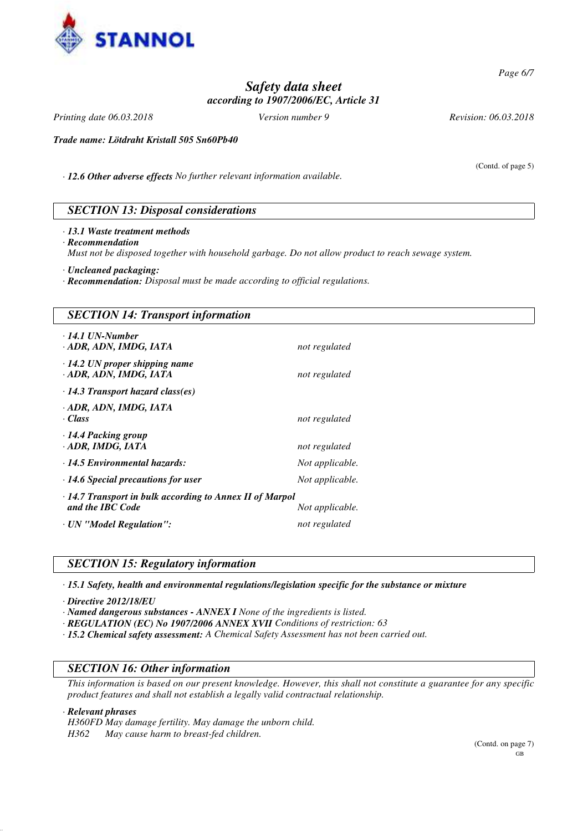

*Page 6/7*

# *Safety data sheet according to 1907/2006/EC, Article 31*

*Printing date 06.03.2018 Version number 9 Revision: 06.03.2018*

(Contd. of page 5)

*Trade name: Lötdraht Kristall 505 Sn60Pb40*

*· 12.6 Other adverse effects No further relevant information available.*

## *SECTION 13: Disposal considerations*

*· 13.1 Waste treatment methods · Recommendation Must not be disposed together with household garbage. Do not allow product to reach sewage system.*

*· Uncleaned packaging:*

*· Recommendation: Disposal must be made according to official regulations.*

# *SECTION 14: Transport information · 14.1 UN-Number · ADR, ADN, IMDG, IATA not regulated · 14.2 UN proper shipping name · ADR, ADN, IMDG, IATA not regulated · 14.3 Transport hazard class(es) · ADR, ADN, IMDG, IATA · Class not regulated · 14.4 Packing group · ADR, IMDG, IATA not regulated · 14.5 Environmental hazards: Not applicable. · 14.6 Special precautions for user Not applicable. · 14.7 Transport in bulk according to Annex II of Marpol* **and the IBC Code** *Not applicable. · UN "Model Regulation": not regulated*

## *SECTION 15: Regulatory information*

*· 15.1 Safety, health and environmental regulations/legislation specific for the substance or mixture*

*· Directive 2012/18/EU*

*· Named dangerous substances - ANNEX I None of the ingredients is listed.*

*· REGULATION (EC) No 1907/2006 ANNEX XVII Conditions of restriction: 63*

*· 15.2 Chemical safety assessment: A Chemical Safety Assessment has not been carried out.*

## *SECTION 16: Other information*

*This information is based on our present knowledge. However, this shall not constitute a guarantee for any specific product features and shall not establish a legally valid contractual relationship.*

*· Relevant phrases*

*H360FD May damage fertility. May damage the unborn child.*

*H362 May cause harm to breast-fed children.*